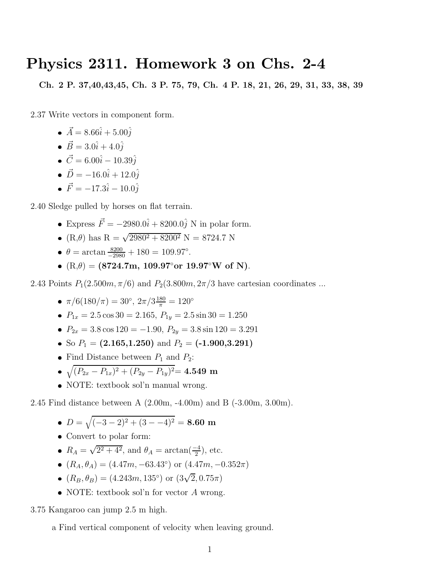## Physics 2311. Homework 3 on Chs. 2-4

Ch. 2 P. 37,40,43,45, Ch. 3 P. 75, 79, Ch. 4 P. 18, 21, 26, 29, 31, 33, 38, 39

2.37 Write vectors in component form.

- $\vec{A} = 8.66\hat{i} + 5.00\hat{j}$
- $\vec{B} = 3.0\hat{i} + 4.0\hat{j}$
- $\vec{C} = 6.00\hat{i} 10.39\hat{i}$
- $\vec{D} = -16.0\hat{i} + 12.0\hat{i}$
- $\vec{F} = -17.3\hat{i} 10.0\hat{i}$

2.40 Sledge pulled by horses on flat terrain.

- Express  $\vec{F} = -2980.0\hat{i} + 8200.0\hat{j}$  N in polar form.
- $(R,\theta)$  has  $R = \sqrt{2980^2 + 8200^2}$  N = 8724.7 N
- $\theta = \arctan \frac{8200}{-2980} + 180 = 109.97^{\circ}$ .
- $(R,\theta) = (8724.7m, 109.97°$ or 19.97°W of N).

2.43 Points  $P_1(2.500m, \pi/6)$  and  $P_2(3.800m, 2\pi/3)$  have cartesian coordinates ...

- $\pi/6(180/\pi) = 30^\circ, 2\pi/3\frac{180}{\pi} = 120^\circ$
- $P_{1x} = 2.5 \cos 30 = 2.165$ ,  $P_{1y} = 2.5 \sin 30 = 1.250$
- $P_{2x} = 3.8 \cos 120 = -1.90, P_{2y} = 3.8 \sin 120 = 3.291$
- So  $P_1 = (2.165, 1.250)$  and  $P_2 = (-1.900, 3.291)$
- Find Distance between  $P_1$  and  $P_2$ :
- $\bullet$   $\sqrt{(P_{2x}-P_{1x})^2+(P_{2y}-P_{1y})^2}=4.549$  m
- NOTE: textbook sol'n manual wrong.

2.45 Find distance between A (2.00m, -4.00m) and B (-3.00m, 3.00m).

- $D = \sqrt{(-3-2)^2 + (3 -4)^2} = 8.60$  m
- Convert to polar form:
- $R_A = \sqrt{2^2 + 4^2}$ , and  $\theta_A = \arctan(\frac{-4}{2})$ , etc.
- $(R_A, \theta_A) = (4.47m, -63.43°)$  or  $(4.47m, -0.352\pi)$
- $(R_B, \theta_B) = (4.243m, 135°) \text{ or } (3\sqrt{2}, 0.75\pi)$
- NOTE: textbook sol'n for vector A wrong.

3.75 Kangaroo can jump 2.5 m high.

a Find vertical component of velocity when leaving ground.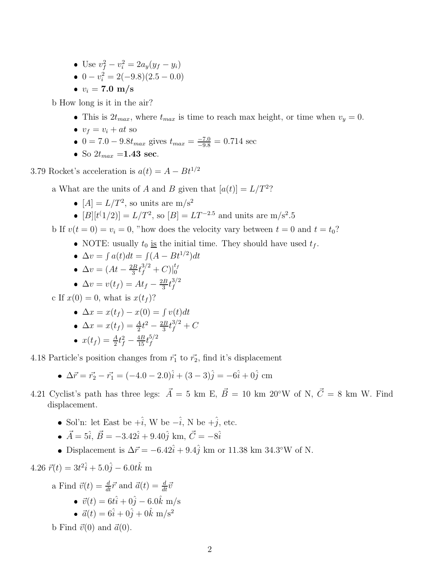- Use  $v_f^2 v_i^2 = 2a_y(y_f y_i)$
- $0 v_i^2 = 2(-9.8)(2.5 0.0)$
- $v_i = 7.0 \text{ m/s}$

b How long is it in the air?

- This is  $2t_{max}$ , where  $t_{max}$  is time to reach max height, or time when  $v_y = 0$ .
- $v_f = v_i + at$  so
- 0 = 7.0 9.8 $t_{max}$  gives  $t_{max} = \frac{-7.0}{-9.8} = 0.714$  sec
- So  $2t_{max} = 1.43$  sec.

3.79 Rocket's acceleration is  $a(t) = A - Bt^{1/2}$ 

a What are the units of A and B given that  $[a(t)] = L/T^2$ ?

- $[A] = L/T^2$ , so units are m/s<sup>2</sup>
- $[B][t^{\{1/2\}}] = L/T^2$ , so  $[B] = LT^{-2.5}$  and units are m/s<sup>2</sup>.5

b If  $v(t = 0) = v_i = 0$ , "how does the velocity vary between  $t = 0$  and  $t = t_0$ ?

• NOTE: usually  $t_0$  is the initial time. They should have used  $t_f$ .

• 
$$
\Delta v = \int a(t)dt = \int (A - Bt^{1/2})dt
$$

• 
$$
\Delta v = (At - \frac{2B}{3}t_f^{3/2} + C)|_0^{t_f}
$$

$$
\bullet \ \Delta v = v(t_f) = At_f - \frac{2B}{3}t_f^{3/2}
$$

c If  $x(0) = 0$ , what is  $x(t_f)$ ?

• 
$$
\Delta x = x(t_f) - x(0) = \int v(t)dt
$$

• 
$$
\Delta x = x(t_f) = \frac{A}{2}t^2 - \frac{2B}{3}t_f^{3/2} + C
$$

• 
$$
x(t_f) = \frac{A}{2}t_f^2 - \frac{4B}{15}t_f^{5/2}
$$

4.18 Particle's position changes from  $\vec{r_1}$  to  $\vec{r_2},$  find it's displacement

• 
$$
\Delta \vec{r} = \vec{r_2} - \vec{r_1} = (-4.0 - 2.0)\hat{i} + (3 - 3)\hat{j} = -6\hat{i} + 0\hat{j}
$$
 cm

- 4.21 Cyclist's path has three legs:  $\vec{A} = 5$  km E,  $\vec{B} = 10$  km 20°W of N,  $\vec{C} = 8$  km W. Find displacement.
	- Sol'n: let East be  $+\hat{i}$ , W be  $-\hat{i}$ , N be  $+\hat{j}$ , etc.
	- $\vec{A} = 5\hat{i}$ ,  $\vec{B} = -3.42\hat{i} + 9.40\hat{j}$  km,  $\vec{C} = -8\hat{i}$
	- Displacement is  $\Delta \vec{r} = -6.42\hat{i} + 9.4\hat{j}$  km or 11.38 km 34.3°W of N.

$$
4.26 \ \vec{r}(t) = 3t^2\hat{i} + 5.0\hat{j} - 6.0t\hat{k} \ \mathrm{m}
$$

a Find 
$$
\vec{v}(t) = \frac{d}{dt}\vec{r}
$$
 and  $\vec{a}(t) = \frac{d}{dt}\vec{v}$   
\n•  $\vec{v}(t) = 6t\hat{i} + 0\hat{j} - 6.0\hat{k}$  m/s  
\n•  $\vec{a}(t) = 6\hat{i} + 0\hat{j} + 0\hat{k}$  m/s<sup>2</sup>

b Find  $\vec{v}(0)$  and  $\vec{a}(0)$ .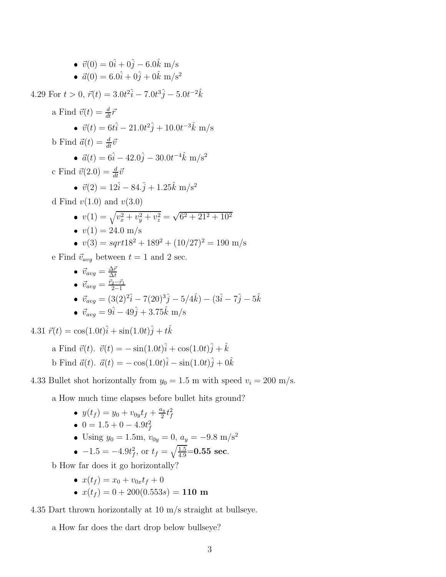• 
$$
\vec{v}(0) = 0\hat{i} + 0\hat{j} - 6.0\hat{k}
$$
 m/s  
\n•  $\vec{a}(0) = 6.0\hat{i} + 0\hat{j} + 0\hat{k}$  m/s<sup>2</sup>  
\n4.29 For  $t > 0$ ,  $\vec{r}(t) = 3.0t^2\hat{i} - 7.0t^3\hat{j} - 5.0t^{-2}\hat{k}$   
\na Find  $\vec{v}(t) = \frac{d}{dt}\vec{r}$   
\n•  $\vec{v}(t) = 6t\hat{i} - 21.0t^2\hat{j} + 10.0t^{-3}\hat{k}$  m/s  
\nb Find  $\vec{a}(t) = \frac{d}{dt}\vec{v}$   
\n•  $\vec{a}(t) = 6\hat{i} - 42.0\hat{j} - 30.0t^{-4}\hat{k}$  m/s<sup>2</sup>  
\nc Find  $\vec{v}(2.0) = \frac{d}{dt}\vec{v}$   
\n•  $\vec{v}(2) = 12\hat{i} - 84.\hat{j} + 1.25\hat{k}$  m/s<sup>2</sup>  
\nd Find  $v(1.0)$  and  $v(3.0)$   
\n•  $v(1) = \sqrt{v_x^2 + v_y^2 + v_z^2} = \sqrt{6^2 + 21^2 + 10^2}$   
\n•  $v(1) = 24.0$  m/s  
\n•  $v(3) = \sqrt{6^2 + 189^2 + (10/27)^2} = 190$  m/s  
\ne Find  $\vec{v}_{avg}$  between  $t = 1$  and 2 sec.  
\n•  $\vec{v}_{avg} = \frac{\Delta \vec{r}}{\Delta t}$ 

\n- \n
$$
\vec{v}_{avg} = \frac{\vec{r}_2 - \vec{r}_1}{2 - 1}
$$
\n
\n- \n
$$
\vec{v}_{avg} = (3(2)^2 \hat{i} - 7(20)^3 \hat{j} - 5/4 \hat{k}) - (3\hat{i} - 7\hat{j} - 5\hat{k})
$$
\n
\n- \n
$$
\vec{v}_{avg} = 9\hat{i} - 49\hat{j} + 3.75\hat{k}
$$
\n
\n- \n
$$
\vec{v}_{avg} = 9\hat{i} - 49\hat{j} + 3.75\hat{k}
$$
\n
\n

4.31  $\vec{r}(t) = \cos(1.0t)\hat{i} + \sin(1.0t)\hat{j} + t\hat{k}$ 

a Find 
$$
\vec{v}(t)
$$
.  $\vec{v}(t) = -\sin(1.0t)\hat{i} + \cos(1.0t)\hat{j} + \hat{k}$   
b Find  $\vec{a}(t)$ .  $\vec{a}(t) = -\cos(1.0t)\hat{i} - \sin(1.0t)\hat{j} + 0\hat{k}$ 

4.33 Bullet shot horizontally from  $y_0 = 1.5$  m with speed  $v_i = 200$  m/s.

a How much time elapses before bullet hits ground?

\n- \n
$$
y(t_f) = y_0 + v_{0y}t_f + \frac{a_y}{2}t_f^2
$$
\n
\n- \n
$$
0 = 1.5 + 0 - 4.9t_f^2
$$
\n
\n- \n
$$
0 = 1.5 \text{ m}, v_{0y} = 0, a_y = -9.8 \text{ m/s}^2
$$
\n
\n

• 
$$
-1.5 = -4.9t_f^2
$$
, or  $t_f = \sqrt{\frac{1.5}{4.9}} = 0.55$  sec.

b How far does it go horizontally?

$$
\bullet \ \ x(t_f) = x_0 + v_{0x}t_f + 0
$$

•  $x(t_f) = 0 + 200(0.553s) = 110$  m

4.35 Dart thrown horizontally at 10 m/s straight at bullseye.

a How far does the dart drop below bullseye?